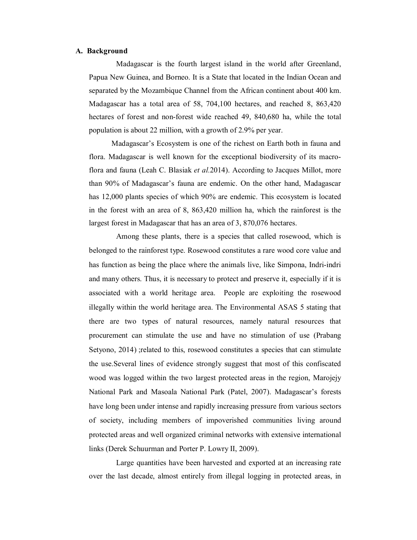## **A. Background**

Madagascar is the fourth largest island in the world after Greenland, Papua New Guinea, and Borneo. It is a State that located in the Indian Ocean and separated by the Mozambique Channel from the African continent about 400 km. Madagascar has a total area of 58, 704,100 hectares, and reached 8, 863,420 hectares of forest and non-forest wide reached 49, 840,680 ha, while the total population is about 22 million, with a growth of 2.9% per year.

Madagascar's Ecosystem is one of the richest on Earth both in fauna and flora. Madagascar is well known for the exceptional biodiversity of its macroflora and fauna (Leah C. Blasiak *et al.*2014). According to Jacques Millot, more than 90% of Madagascar's fauna are endemic. On the other hand, Madagascar has 12,000 plants species of which 90% are endemic. This ecosystem is located in the forest with an area of 8, 863,420 million ha, which the rainforest is the largest forest in Madagascar that has an area of 3, 870,076 hectares.

Among these plants, there is a species that called rosewood, which is belonged to the rainforest type. Rosewood constitutes a rare wood core value and has function as being the place where the animals live, like Simpona, Indri-indri and many others. Thus, it is necessary to protect and preserve it, especially if it is associated with a world heritage area. People are exploiting the rosewood illegally within the world heritage area. The Environmental ASAS 5 stating that there are two types of natural resources, namely natural resources that procurement can stimulate the use and have no stimulation of use (Prabang Setyono, 2014) ; related to this, rosewood constitutes a species that can stimulate the use.Several lines of evidence strongly suggest that most of this confiscated wood was logged within the two largest protected areas in the region, Marojejy National Park and Masoala National Park (Patel, 2007). Madagascar's forests have long been under intense and rapidly increasing pressure from various sectors of society, including members of impoverished communities living around protected areas and well organized criminal networks with extensive international links (Derek Schuurman and Porter P. Lowry II, 2009).

Large quantities have been harvested and exported at an increasing rate over the last decade, almost entirely from illegal logging in protected areas, in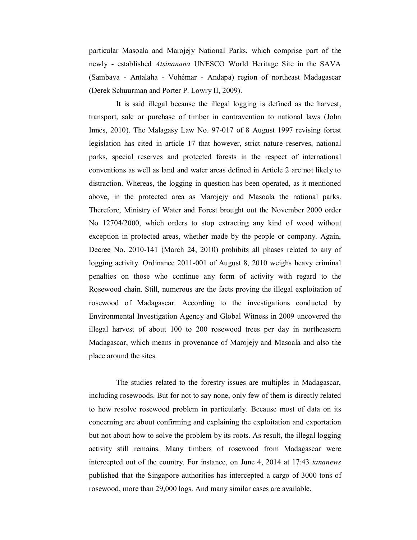particular Masoala and Marojejy National Parks, which comprise part of the newly - established *Atsinanana* UNESCO World Heritage Site in the SAVA (Sambava - Antalaha - Vohémar - Andapa) region of northeast Madagascar (Derek Schuurman and Porter P. Lowry II, 2009).

It is said illegal because the illegal logging is defined as the harvest, transport, sale or purchase of timber in contravention to national laws (John Innes, 2010). The Malagasy Law No. 97-017 of 8 August 1997 revising forest legislation has cited in article 17 that however, strict nature reserves, national parks, special reserves and protected forests in the respect of international conventions as well as land and water areas defined in Article 2 are not likely to distraction. Whereas, the logging in question has been operated, as it mentioned above, in the protected area as Marojejy and Masoala the national parks. Therefore, Ministry of Water and Forest brought out the November 2000 order No 12704/2000, which orders to stop extracting any kind of wood without exception in protected areas, whether made by the people or company. Again, Decree No. 2010-141 (March 24, 2010) prohibits all phases related to any of logging activity. Ordinance 2011-001 of August 8, 2010 weighs heavy criminal penalties on those who continue any form of activity with regard to the Rosewood chain. Still, numerous are the facts proving the illegal exploitation of rosewood of Madagascar. According to the investigations conducted by Environmental Investigation Agency and Global Witness in 2009 uncovered the illegal harvest of about 100 to 200 rosewood trees per day in northeastern Madagascar, which means in provenance of Marojejy and Masoala and also the place around the sites.

The studies related to the forestry issues are multiples in Madagascar, including rosewoods. But for not to say none, only few of them is directly related to how resolve rosewood problem in particularly. Because most of data on its concerning are about confirming and explaining the exploitation and exportation but not about how to solve the problem by its roots. As result, the illegal logging activity still remains. Many timbers of rosewood from Madagascar were intercepted out of the country. For instance, on June 4, 2014 at 17:43 *tananews* published that the Singapore authorities has intercepted a cargo of 3000 tons of rosewood, more than 29,000 logs. And many similar cases are available.